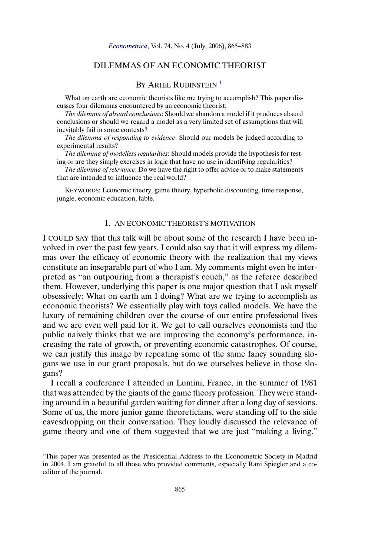# DILEMMAS OF AN ECONOMIC THEORIST

# BY ARIEL RUBINSTEIN<sup>1</sup>

What on earth are economic theorists like me trying to accomplish? This paper discusses four dilemmas encountered by an economic theorist:

*The dilemma of absurd conclusions*: Should we abandon a model if it produces absurd conclusions or should we regard a model as a very limited set of assumptions that will inevitably fail in some contexts?

*The dilemma of responding to evidence*: Should our models be judged according to experimental results?

*The dilemma of modelless regularities*: Should models provide the hypothesis for testing or are they simply exercises in logic that have no use in identifying regularities?

*The dilemma of relevance*: Do we have the right to offer advice or to make statements that are intended to influence the real world?

KEYWORDS: Economic theory, game theory, hyperbolic discounting, time response, jungle, economic education, fable.

### 1. AN ECONOMIC THEORIST'S MOTIVATION

I COULD SAY that this talk will be about some of the research I have been involved in over the past few years. I could also say that it will express my dilemmas over the efficacy of economic theory with the realization that my views constitute an inseparable part of who I am. My comments might even be interpreted as "an outpouring from a therapist's couch," as the referee described them. However, underlying this paper is one major question that I ask myself obsessively: What on earth am I doing? What are we trying to accomplish as economic theorists? We essentially play with toys called models. We have the luxury of remaining children over the course of our entire professional lives and we are even well paid for it. We get to call ourselves economists and the public naively thinks that we are improving the economy's performance, increasing the rate of growth, or preventing economic catastrophes. Of course, we can justify this image by repeating some of the same fancy sounding slogans we use in our grant proposals, but do we ourselves believe in those slogans?

I recall a conference I attended in Lumini, France, in the summer of 1981 that was attended by the giants of the game theory profession. They were standing around in a beautiful garden waiting for dinner after a long day of sessions. Some of us, the more junior game theoreticians, were standing off to the side eavesdropping on their conversation. They loudly discussed the relevance of game theory and one of them suggested that we are just "making a living."

<sup>1</sup>This paper was presented as the Presidential Address to the Econometric Society in Madrid in 2004. I am grateful to all those who provided comments, especially Rani Spiegler and a coeditor of the journal.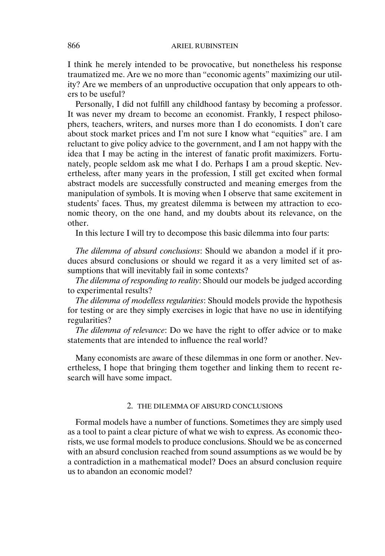I think he merely intended to be provocative, but nonetheless his response traumatized me. Are we no more than "economic agents" maximizing our utility? Are we members of an unproductive occupation that only appears to others to be useful?

Personally, I did not fulfill any childhood fantasy by becoming a professor. It was never my dream to become an economist. Frankly, I respect philosophers, teachers, writers, and nurses more than I do economists. I don't care about stock market prices and I'm not sure I know what "equities" are. I am reluctant to give policy advice to the government, and I am not happy with the idea that I may be acting in the interest of fanatic profit maximizers. Fortunately, people seldom ask me what I do. Perhaps I am a proud skeptic. Nevertheless, after many years in the profession, I still get excited when formal abstract models are successfully constructed and meaning emerges from the manipulation of symbols. It is moving when I observe that same excitement in students' faces. Thus, my greatest dilemma is between my attraction to economic theory, on the one hand, and my doubts about its relevance, on the other.

In this lecture I will try to decompose this basic dilemma into four parts:

*The dilemma of absurd conclusions*: Should we abandon a model if it produces absurd conclusions or should we regard it as a very limited set of assumptions that will inevitably fail in some contexts?

*The dilemma of responding to reality*: Should our models be judged according to experimental results?

*The dilemma of modelless regularities*: Should models provide the hypothesis for testing or are they simply exercises in logic that have no use in identifying regularities?

*The dilemma of relevance*: Do we have the right to offer advice or to make statements that are intended to influence the real world?

Many economists are aware of these dilemmas in one form or another. Nevertheless, I hope that bringing them together and linking them to recent research will have some impact.

## 2. THE DILEMMA OF ABSURD CONCLUSIONS

Formal models have a number of functions. Sometimes they are simply used as a tool to paint a clear picture of what we wish to express. As economic theorists, we use formal models to produce conclusions. Should we be as concerned with an absurd conclusion reached from sound assumptions as we would be by a contradiction in a mathematical model? Does an absurd conclusion require us to abandon an economic model?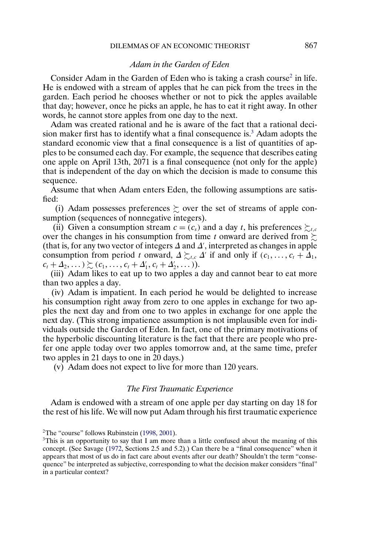## DILEMMAS OF AN ECONOMIC THEORIST 867

# *Adam in the Garden of Eden*

<span id="page-2-0"></span>Consider Adam in the Garden of Eden who is taking a crash course<sup>2</sup> in life. He is endowed with a stream of apples that he can pick from the trees in the garden. Each period he chooses whether or not to pick the apples available that day; however, once he picks an apple, he has to eat it right away. In other words, he cannot store apples from one day to the next.

Adam was created rational and he is aware of the fact that a rational decision maker first has to identify what a final consequence is.3 Adam adopts the standard economic view that a final consequence is a list of quantities of apples to be consumed each day. For example, the sequence that describes eating one apple on April 13th, 2071 is a final consequence (not only for the apple) that is independent of the day on which the decision is made to consume this sequence.

Assume that when Adam enters Eden, the following assumptions are satisfied:

(i) Adam possesses preferences  $\succsim$  over the set of streams of apple consumption (sequences of nonnegative integers).

(ii) Given a consumption stream  $c = (c_s)$  and a day t, his preferences  $\sum_{t,c}$ over the changes in his consumption from time t onward are derived from  $\succsim$ (that is, for any two vector of integers ∆ and ∆ , interpreted as changes in apple consumption from period t onward,  $\Delta \succeq_{t,c} \Delta'$  if and only if  $(c_1, \ldots, c_t + \Delta_1,$  $c_t + \Delta_2, \ldots \geq (c_1, \ldots, c_t + \Delta'_1, c_t + \Delta'_2, \ldots)).$ 

(iii) Adam likes to eat up to two apples a day and cannot bear to eat more than two apples a day.

(iv) Adam is impatient. In each period he would be delighted to increase his consumption right away from zero to one apples in exchange for two apples the next day and from one to two apples in exchange for one apple the next day. (This strong impatience assumption is not implausible even for individuals outside the Garden of Eden. In fact, one of the primary motivations of the hyperbolic discounting literature is the fact that there are people who prefer one apple today over two apples tomorrow and, at the same time, prefer two apples in 21 days to one in 20 days.)

(v) Adam does not expect to live for more than 120 years.

### *The First Traumatic Experience*

Adam is endowed with a stream of one apple per day starting on day 18 for the rest of his life. We will now put Adam through his first traumatic experience

<sup>&</sup>lt;sup>2</sup>The "course" follows Rubinstein [\(1998, 2001\)](#page-18-0).

 $3$ This is an opportunity to say that I am more than a little confused about the meaning of this concept. (See Savage [\(1972,](#page-18-0) Sections 2.5 and 5.2).) Can there be a "final consequence" when it appears that most of us do in fact care about events after our death? Shouldn't the term "consequence" be interpreted as subjective, corresponding to what the decision maker considers "final" in a particular context?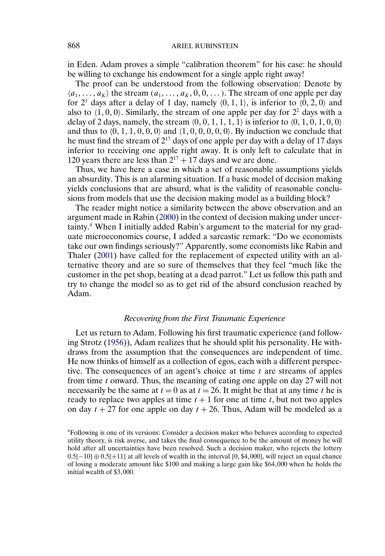<span id="page-3-0"></span>in Eden. Adam proves a simple "calibration theorem" for his case: he should be willing to exchange his endowment for a single apple right away!

The proof can be understood from the following observation: Denote by  $\langle a_1, \ldots, a_k \rangle$  the stream  $(a_1, \ldots, a_k, 0, 0, \ldots)$ . The stream of one apple per day for  $2^1$  days after a delay of 1 day, namely  $(0, 1, 1)$ , is inferior to  $(0, 2, 0)$  and also to  $(1, 0, 0)$ . Similarly, the stream of one apple per day for  $2<sup>2</sup>$  days with a delay of 2 days, namely, the stream  $(0, 0, 1, 1, 1, 1)$  is inferior to  $(0, 1, 0, 1, 0, 0)$ and thus to  $(0, 1, 1, 0, 0, 0)$  and  $(1, 0, 0, 0, 0, 0)$ . By induction we conclude that he must find the stream of  $2^{17}$  days of one apple per day with a delay of 17 days inferior to receiving one apple right away. It is only left to calculate that in 120 years there are less than  $2^{17} + 17$  days and we are done.

Thus, we have here a case in which a set of reasonable assumptions yields an absurdity. This is an alarming situation. If a basic model of decision making yields conclusions that are absurd, what is the validity of reasonable conclusions from models that use the decision making model as a building block?

The reader might notice a similarity between the above observation and an argument made in Rabin [\(2000\)](#page-17-0) in the context of decision making under uncertainty.4 When I initially added Rabin's argument to the material for my graduate microeconomics course, I added a sarcastic remark: "Do we economists take our own findings seriously?" Apparently, some economists like Rabin and Thaler [\(2001\)](#page-17-0) have called for the replacement of expected utility with an alternative theory and are so sure of themselves that they feel "much like the customer in the pet shop, beating at a dead parrot." Let us follow this path and try to change the model so as to get rid of the absurd conclusion reached by Adam.

#### *Recovering from the First Traumatic Experience*

Let us return to Adam. Following his first traumatic experience (and following Strotz [\(1956\)](#page-18-0)), Adam realizes that he should split his personality. He withdraws from the assumption that the consequences are independent of time. He now thinks of himself as a collection of egos, each with a different perspective. The consequences of an agent's choice at time  $t$  are streams of apples from time t onward. Thus, the meaning of eating one apple on day 27 will not necessarily be the same at  $t = 0$  as at  $t = 26$ . It might be that at any time t he is ready to replace two apples at time  $t + 1$  for one at time t, but not two apples on day  $t + 27$  for one apple on day  $t + 26$ . Thus, Adam will be modeled as a

<sup>4</sup>Following is one of its versions: Consider a decision maker who behaves according to expected utility theory, is risk averse, and takes the final consequence to be the amount of money he will hold after all uncertainties have been resolved. Such a decision maker, who rejects the lottery  $0.5[-10] \oplus 0.5[+11]$  at all levels of wealth in the interval [0, \$4,000], will reject an equal chance of losing a moderate amount like \$100 and making a large gain like \$64000 when he holds the initial wealth of \$3,000.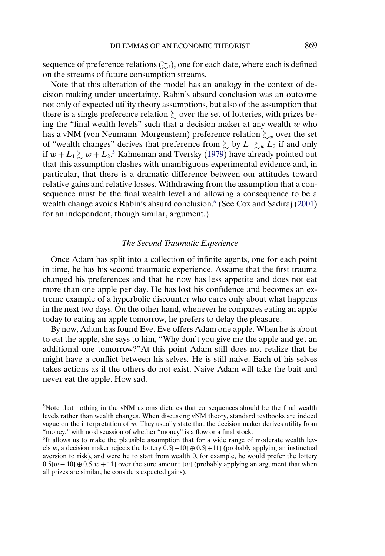<span id="page-4-0"></span>sequence of preference relations  $(\succsim_t)$ , one for each date, where each is defined on the streams of future consumption streams.

Note that this alteration of the model has an analogy in the context of decision making under uncertainty. Rabin's absurd conclusion was an outcome not only of expected utility theory assumptions, but also of the assumption that there is a single preference relation  $\succeq$  over the set of lotteries, with prizes being the "final wealth levels" such that a decision maker at any wealth  $w$  who has a vNM (von Neumann–Morgenstern) preference relation  $\succsim_w$  over the set of "wealth changes" derives that preference from  $\gtrsim$  by  $L_1 \gtrsim_w L_2$  if and only if  $w + L_1 \succsim w + L_2$ .<sup>5</sup> Kahneman and Tversky [\(1979\)](#page-17-0) have already pointed out that this assumption clashes with unambiguous experimental evidence and, in particular, that there is a dramatic difference between our attitudes toward relative gains and relative losses. Withdrawing from the assumption that a consequence must be the final wealth level and allowing a consequence to be a wealth change avoids Rabin's absurd conclusion.<sup>6</sup> (See Cox and Sadiraj [\(2001\)](#page-17-0) for an independent, though similar, argument.)

### *The Second Traumatic Experience*

Once Adam has split into a collection of infinite agents, one for each point in time, he has his second traumatic experience. Assume that the first trauma changed his preferences and that he now has less appetite and does not eat more than one apple per day. He has lost his confidence and becomes an extreme example of a hyperbolic discounter who cares only about what happens in the next two days. On the other hand, whenever he compares eating an apple today to eating an apple tomorrow, he prefers to delay the pleasure.

By now, Adam has found Eve. Eve offers Adam one apple. When he is about to eat the apple, she says to him, "Why don't you give me the apple and get an additional one tomorrow?"At this point Adam still does not realize that he might have a conflict between his selves. He is still naive. Each of his selves takes actions as if the others do not exist. Naive Adam will take the bait and never eat the apple. How sad.

<sup>&</sup>lt;sup>5</sup>Note that nothing in the vNM axioms dictates that consequences should be the final wealth levels rather than wealth changes. When discussing vNM theory, standard textbooks are indeed vague on the interpretation of  $w$ . They usually state that the decision maker derives utility from "money," with no discussion of whether "money" is a flow or a final stock.

<sup>&</sup>lt;sup>6</sup>It allows us to make the plausible assumption that for a wide range of moderate wealth levels w, a decision maker rejects the lottery  $0.5[-10] \oplus 0.5[+11]$  (probably applying an instinctual aversion to risk), and were he to start from wealth 0, for example, he would prefer the lottery  $0.5[w - 10] \oplus 0.5[w + 11]$  over the sure amount [w] (probably applying an argument that when all prizes are similar, he considers expected gains).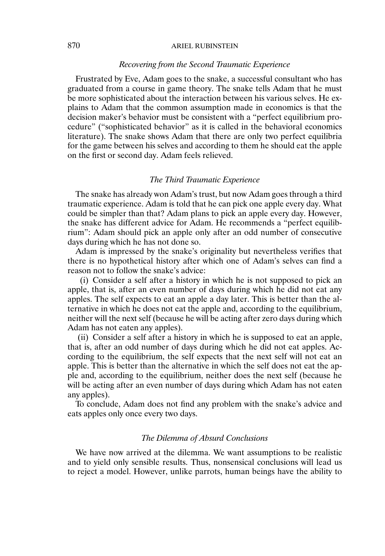### *Recovering from the Second Traumatic Experience*

Frustrated by Eve, Adam goes to the snake, a successful consultant who has graduated from a course in game theory. The snake tells Adam that he must be more sophisticated about the interaction between his various selves. He explains to Adam that the common assumption made in economics is that the decision maker's behavior must be consistent with a "perfect equilibrium procedure" ("sophisticated behavior" as it is called in the behavioral economics literature). The snake shows Adam that there are only two perfect equilibria for the game between his selves and according to them he should eat the apple on the first or second day. Adam feels relieved.

#### *The Third Traumatic Experience*

The snake has already won Adam's trust, but now Adam goes through a third traumatic experience. Adam is told that he can pick one apple every day. What could be simpler than that? Adam plans to pick an apple every day. However, the snake has different advice for Adam. He recommends a "perfect equilibrium": Adam should pick an apple only after an odd number of consecutive days during which he has not done so.

Adam is impressed by the snake's originality but nevertheless verifies that there is no hypothetical history after which one of Adam's selves can find a reason not to follow the snake's advice:

(i) Consider a self after a history in which he is not supposed to pick an apple, that is, after an even number of days during which he did not eat any apples. The self expects to eat an apple a day later. This is better than the alternative in which he does not eat the apple and, according to the equilibrium, neither will the next self (because he will be acting after zero days during which Adam has not eaten any apples).

(ii) Consider a self after a history in which he is supposed to eat an apple, that is, after an odd number of days during which he did not eat apples. According to the equilibrium, the self expects that the next self will not eat an apple. This is better than the alternative in which the self does not eat the apple and, according to the equilibrium, neither does the next self (because he will be acting after an even number of days during which Adam has not eaten any apples).

To conclude, Adam does not find any problem with the snake's advice and eats apples only once every two days.

# *The Dilemma of Absurd Conclusions*

We have now arrived at the dilemma. We want assumptions to be realistic and to yield only sensible results. Thus, nonsensical conclusions will lead us to reject a model. However, unlike parrots, human beings have the ability to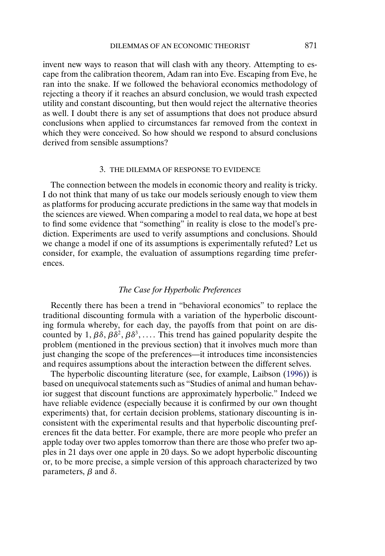<span id="page-6-0"></span>invent new ways to reason that will clash with any theory. Attempting to escape from the calibration theorem, Adam ran into Eve. Escaping from Eve, he ran into the snake. If we followed the behavioral economics methodology of rejecting a theory if it reaches an absurd conclusion, we would trash expected utility and constant discounting, but then would reject the alternative theories as well. I doubt there is any set of assumptions that does not produce absurd conclusions when applied to circumstances far removed from the context in which they were conceived. So how should we respond to absurd conclusions derived from sensible assumptions?

#### 3. THE DILEMMA OF RESPONSE TO EVIDENCE

The connection between the models in economic theory and reality is tricky. I do not think that many of us take our models seriously enough to view them as platforms for producing accurate predictions in the same way that models in the sciences are viewed. When comparing a model to real data, we hope at best to find some evidence that "something" in reality is close to the model's prediction. Experiments are used to verify assumptions and conclusions. Should we change a model if one of its assumptions is experimentally refuted? Let us consider, for example, the evaluation of assumptions regarding time preferences.

### *The Case for Hyperbolic Preferences*

Recently there has been a trend in "behavioral economics" to replace the traditional discounting formula with a variation of the hyperbolic discounting formula whereby, for each day, the payoffs from that point on are discounted by 1,  $\beta\delta$ ,  $\beta\delta^2$ ,  $\beta\delta^3$ , .... This trend has gained popularity despite the problem (mentioned in the previous section) that it involves much more than just changing the scope of the preferences—it introduces time inconsistencies and requires assumptions about the interaction between the different selves.

The hyperbolic discounting literature (see, for example, Laibson [\(1996\)](#page-17-0)) is based on unequivocal statements such as "Studies of animal and human behavior suggest that discount functions are approximately hyperbolic." Indeed we have reliable evidence (especially because it is confirmed by our own thought experiments) that, for certain decision problems, stationary discounting is inconsistent with the experimental results and that hyperbolic discounting preferences fit the data better. For example, there are more people who prefer an apple today over two apples tomorrow than there are those who prefer two apples in 21 days over one apple in 20 days. So we adopt hyperbolic discounting or, to be more precise, a simple version of this approach characterized by two parameters,  $\beta$  and  $\delta$ .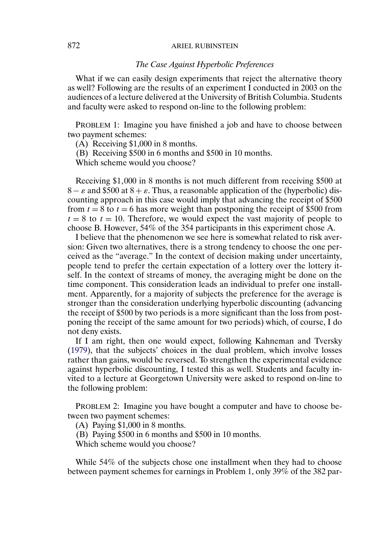## *The Case Against Hyperbolic Preferences*

<span id="page-7-0"></span>What if we can easily design experiments that reject the alternative theory as well? Following are the results of an experiment I conducted in 2003 on the audiences of a lecture delivered at the University of British Columbia. Students and faculty were asked to respond on-line to the following problem:

PROBLEM 1: Imagine you have finished a job and have to choose between two payment schemes:

(A) Receiving \$1,000 in 8 months.

(B) Receiving \$500 in 6 months and \$500 in 10 months.

Which scheme would you choose?

Receiving \$1,000 in 8 months is not much different from receiving \$500 at  $8 - \varepsilon$  and \$500 at  $8 + \varepsilon$ . Thus, a reasonable application of the (hyperbolic) discounting approach in this case would imply that advancing the receipt of \$500 from  $t = 8$  to  $t = 6$  has more weight than postponing the receipt of \$500 from  $t = 8$  to  $t = 10$ . Therefore, we would expect the vast majority of people to choose B. However, 54% of the 354 participants in this experiment chose A.

I believe that the phenomenon we see here is somewhat related to risk aversion: Given two alternatives, there is a strong tendency to choose the one perceived as the "average." In the context of decision making under uncertainty, people tend to prefer the certain expectation of a lottery over the lottery itself. In the context of streams of money, the averaging might be done on the time component. This consideration leads an individual to prefer one installment. Apparently, for a majority of subjects the preference for the average is stronger than the consideration underlying hyperbolic discounting (advancing the receipt of \$500 by two periods is a more significant than the loss from postponing the receipt of the same amount for two periods) which, of course, I do not deny exists.

If I am right, then one would expect, following Kahneman and Tversky [\(1979\)](#page-17-0), that the subjects' choices in the dual problem, which involve losses rather than gains, would be reversed. To strengthen the experimental evidence against hyperbolic discounting, I tested this as well. Students and faculty invited to a lecture at Georgetown University were asked to respond on-line to the following problem:

PROBLEM 2: Imagine you have bought a computer and have to choose between two payment schemes:

(A) Paying \$1,000 in 8 months.

(B) Paying \$500 in 6 months and \$500 in 10 months.

Which scheme would you choose?

While 54% of the subjects chose one installment when they had to choose between payment schemes for earnings in Problem 1, only 39% of the 382 par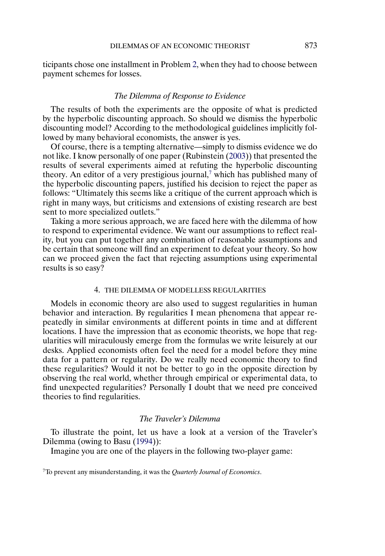<span id="page-8-0"></span>ticipants chose one installment in Problem [2,](#page-7-0) when they had to choose between payment schemes for losses.

#### *The Dilemma of Response to Evidence*

The results of both the experiments are the opposite of what is predicted by the hyperbolic discounting approach. So should we dismiss the hyperbolic discounting model? According to the methodological guidelines implicitly followed by many behavioral economists, the answer is yes.

Of course, there is a tempting alternative—simply to dismiss evidence we do not like. I know personally of one paper (Rubinstein [\(2003\)](#page-18-0)) that presented the results of several experiments aimed at refuting the hyperbolic discounting theory. An editor of a very prestigious journal, $\lambda$  which has published many of the hyperbolic discounting papers, justified his decision to reject the paper as follows: "Ultimately this seems like a critique of the current approach which is right in many ways, but criticisms and extensions of existing research are best sent to more specialized outlets."

Taking a more serious approach, we are faced here with the dilemma of how to respond to experimental evidence. We want our assumptions to reflect reality, but you can put together any combination of reasonable assumptions and be certain that someone will find an experiment to defeat your theory. So how can we proceed given the fact that rejecting assumptions using experimental results is so easy?

#### 4. THE DILEMMA OF MODELLESS REGULARITIES

Models in economic theory are also used to suggest regularities in human behavior and interaction. By regularities I mean phenomena that appear repeatedly in similar environments at different points in time and at different locations. I have the impression that as economic theorists, we hope that regularities will miraculously emerge from the formulas we write leisurely at our desks. Applied economists often feel the need for a model before they mine data for a pattern or regularity. Do we really need economic theory to find these regularities? Would it not be better to go in the opposite direction by observing the real world, whether through empirical or experimental data, to find unexpected regularities? Personally I doubt that we need pre conceived theories to find regularities.

# *The Traveler's Dilemma*

To illustrate the point, let us have a look at a version of the Traveler's Dilemma (owing to Basu [\(1994\)](#page-17-0)):

Imagine you are one of the players in the following two-player game:

7To prevent any misunderstanding, it was the *Quarterly Journal of Economics*.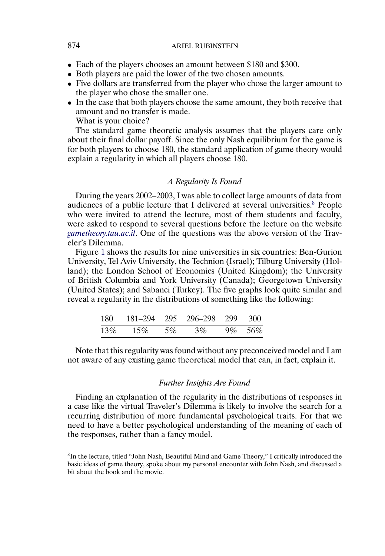- Each of the players chooses an amount between \$180 and \$300.
- Both players are paid the lower of the two chosen amounts.
- Five dollars are transferred from the player who chose the larger amount to the player who chose the smaller one.
- In the case that both players choose the same amount, they both receive that amount and no transfer is made.

What is your choice?

The standard game theoretic analysis assumes that the players care only about their final dollar payoff. Since the only Nash equilibrium for the game is for both players to choose 180, the standard application of game theory would explain a regularity in which all players choose 180.

# *A Regularity Is Found*

During the years 2002–2003, I was able to collect large amounts of data from audiences of a public lecture that I delivered at several universities.<sup>8</sup> People who were invited to attend the lecture, most of them students and faculty, were asked to respond to several questions before the lecture on the website *<gametheory.tau.ac.il>*. One of the questions was the above version of the Traveler's Dilemma.

Figure [1](#page-10-0) shows the results for nine universities in six countries: Ben-Gurion University, Tel Aviv University, the Technion (Israel); Tilburg University (Holland); the London School of Economics (United Kingdom); the University of British Columbia and York University (Canada); Georgetown University (United States); and Sabanci (Turkey). The five graphs look quite similar and reveal a regularity in the distributions of something like the following:

|        |           | 180 181–294 295 296–298 299 300 |              |
|--------|-----------|---------------------------------|--------------|
| $13\%$ | $15\%$ 5% | $3\%$                           | $9\% - 56\%$ |

Note that this regularity was found without any preconceived model and I am not aware of any existing game theoretical model that can, in fact, explain it.

## *Further Insights Are Found*

Finding an explanation of the regularity in the distributions of responses in a case like the virtual Traveler's Dilemma is likely to involve the search for a recurring distribution of more fundamental psychological traits. For that we need to have a better psychological understanding of the meaning of each of the responses, rather than a fancy model.

8In the lecture, titled "John Nash, Beautiful Mind and Game Theory," I critically introduced the basic ideas of game theory, spoke about my personal encounter with John Nash, and discussed a bit about the book and the movie.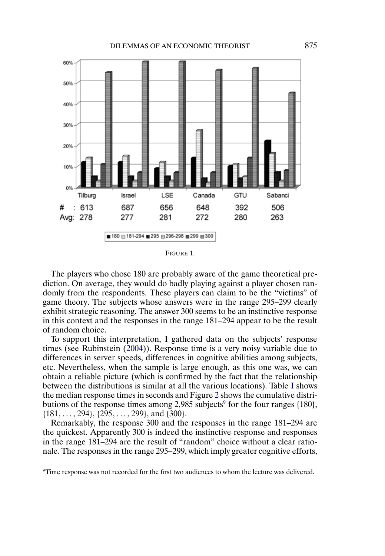<span id="page-10-0"></span>

FIGURE 1.

The players who chose 180 are probably aware of the game theoretical prediction. On average, they would do badly playing against a player chosen randomly from the respondents. These players can claim to be the "victims" of game theory. The subjects whose answers were in the range 295–299 clearly exhibit strategic reasoning. The answer 300 seems to be an instinctive response in this context and the responses in the range 181–294 appear to be the result of random choice.

To support this interpretation, I gathered data on the subjects' response times (see Rubinstein [\(2004\)](#page-18-0)). Response time is a very noisy variable due to differences in server speeds, differences in cognitive abilities among subjects, etc. Nevertheless, when the sample is large enough, as this one was, we can obtain a reliable picture (which is confirmed by the fact that the relationship between the distributions is similar at all the various locations). Table [I](#page-11-0) shows the median response times in seconds and Figure [2](#page-11-0) shows the cumulative distributions of the response times among  $2,985$  subjects<sup>9</sup> for the four ranges  $\{180\}$ ,  $\{181, \ldots, 294\}, \{295, \ldots, 299\}, \text{and } \{300\}.$ 

Remarkably, the response 300 and the responses in the range 181–294 are the quickest. Apparently 300 is indeed the instinctive response and responses in the range 181–294 are the result of "random" choice without a clear rationale. The responses in the range 295–299, which imply greater cognitive efforts,

<sup>&</sup>lt;sup>9</sup>Time response was not recorded for the first two audiences to whom the lecture was delivered.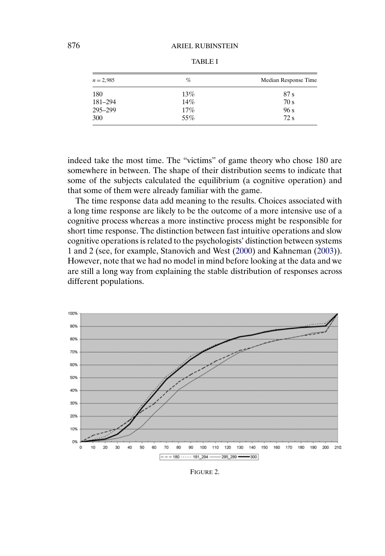<span id="page-11-0"></span>

| $n = 2,985$ | $\%$ | Median Response Time |
|-------------|------|----------------------|
| 180         | 13%  | 87 s                 |
| 181-294     | 14%  | 70 s                 |
| 295-299     | 17%  | 96 s                 |
| 300         | 55%  | 72s                  |

TABLE I

indeed take the most time. The "victims" of game theory who chose 180 are somewhere in between. The shape of their distribution seems to indicate that some of the subjects calculated the equilibrium (a cognitive operation) and that some of them were already familiar with the game.

The time response data add meaning to the results. Choices associated with a long time response are likely to be the outcome of a more intensive use of a cognitive process whereas a more instinctive process might be responsible for short time response. The distinction between fast intuitive operations and slow cognitive operations is related to the psychologists' distinction between systems 1 and 2 (see, for example, Stanovich and West [\(2000\)](#page-18-0) and Kahneman [\(2003\)](#page-17-0)). However, note that we had no model in mind before looking at the data and we are still a long way from explaining the stable distribution of responses across different populations.



FIGURE 2.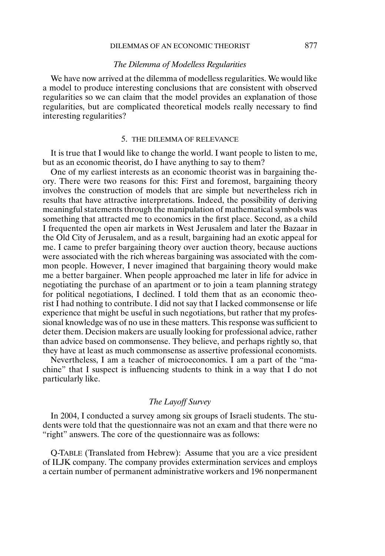### *The Dilemma of Modelless Regularities*

<span id="page-12-0"></span>We have now arrived at the dilemma of modelless regularities. We would like a model to produce interesting conclusions that are consistent with observed regularities so we can claim that the model provides an explanation of those regularities, but are complicated theoretical models really necessary to find interesting regularities?

#### 5. THE DILEMMA OF RELEVANCE

It is true that I would like to change the world. I want people to listen to me, but as an economic theorist, do I have anything to say to them?

One of my earliest interests as an economic theorist was in bargaining theory. There were two reasons for this: First and foremost, bargaining theory involves the construction of models that are simple but nevertheless rich in results that have attractive interpretations. Indeed, the possibility of deriving meaningful statements through the manipulation of mathematical symbols was something that attracted me to economics in the first place. Second, as a child I frequented the open air markets in West Jerusalem and later the Bazaar in the Old City of Jerusalem, and as a result, bargaining had an exotic appeal for me. I came to prefer bargaining theory over auction theory, because auctions were associated with the rich whereas bargaining was associated with the common people. However, I never imagined that bargaining theory would make me a better bargainer. When people approached me later in life for advice in negotiating the purchase of an apartment or to join a team planning strategy for political negotiations, I declined. I told them that as an economic theorist I had nothing to contribute. I did not say that I lacked commonsense or life experience that might be useful in such negotiations, but rather that my professional knowledge was of no use in these matters. This response was sufficient to deter them. Decision makers are usually looking for professional advice, rather than advice based on commonsense. They believe, and perhaps rightly so, that they have at least as much commonsense as assertive professional economists.

Nevertheless, I am a teacher of microeconomics. I am a part of the "machine" that I suspect is influencing students to think in a way that I do not particularly like.

# *The Layoff Survey*

In 2004, I conducted a survey among six groups of Israeli students. The students were told that the questionnaire was not an exam and that there were no "right" answers. The core of the questionnaire was as follows:

Q-TABLE (Translated from Hebrew): Assume that you are a vice president of ILJK company. The company provides extermination services and employs a certain number of permanent administrative workers and 196 nonpermanent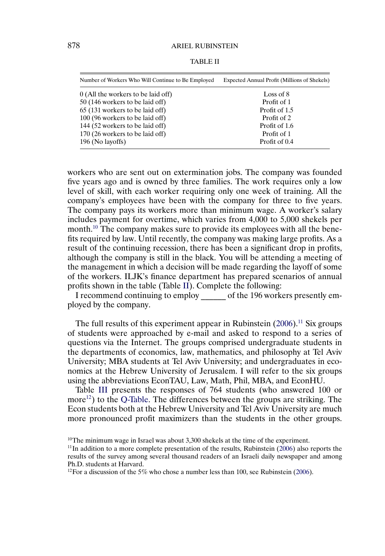<span id="page-13-0"></span>

| Number of Workers Who Will Continue to Be Employed | Expected Annual Profit (Millions of Shekels) |
|----------------------------------------------------|----------------------------------------------|
| $\theta$ (All the workers to be laid off)          | Loss of 8                                    |
| 50 (146 workers to be laid off)                    | Profit of 1                                  |
| 65 (131 workers to be laid off)                    | Profit of 1.5                                |
| 100 (96 workers to be laid off)                    | Profit of 2                                  |
| 144 (52 workers to be laid off)                    | Profit of 1.6                                |
| 170 (26 workers to be laid off)                    | Profit of 1                                  |
| 196 (No layoffs)                                   | Profit of 0.4                                |

TABLE II

workers who are sent out on extermination jobs. The company was founded five years ago and is owned by three families. The work requires only a low level of skill, with each worker requiring only one week of training. All the company's employees have been with the company for three to five years. The company pays its workers more than minimum wage. A worker's salary includes payment for overtime, which varies from 4,000 to 5,000 shekels per month.<sup>10</sup> The company makes sure to provide its employees with all the benefits required by law. Until recently, the company was making large profits. As a result of the continuing recession, there has been a significant drop in profits, although the company is still in the black. You will be attending a meeting of the management in which a decision will be made regarding the layoff of some of the workers. ILJK's finance department has prepared scenarios of annual profits shown in the table (Table II). Complete the following:

I recommend continuing to employ of the 196 workers presently employed by the company.

The full results of this experiment appear in Rubinstein  $(2006)$ .<sup>11</sup> Six groups of students were approached by e-mail and asked to respond to a series of questions via the Internet. The groups comprised undergraduate students in the departments of economics, law, mathematics, and philosophy at Tel Aviv University; MBA students at Tel Aviv University; and undergraduates in economics at the Hebrew University of Jerusalem. I will refer to the six groups using the abbreviations EconTAU, Law, Math, Phil, MBA, and EconHU.

Table [III](#page-14-0) presents the responses of 764 students (who answered 100 or more<sup>12</sup>) to the [Q-Table.](#page-12-0) The differences between the groups are striking. The Econ students both at the Hebrew University and Tel Aviv University are much more pronounced profit maximizers than the students in the other groups.

 $10$ The minimum wage in Israel was about 3,300 shekels at the time of the experiment.

 $11$ In addition to a more complete presentation of the results, Rubinstein [\(2006\)](#page-18-0) also reports the results of the survey among several thousand readers of an Israeli daily newspaper and among Ph.D. students at Harvard.

<sup>&</sup>lt;sup>12</sup>For a discussion of the 5% who chose a number less than 100, see Rubinstein [\(2006\)](#page-18-0).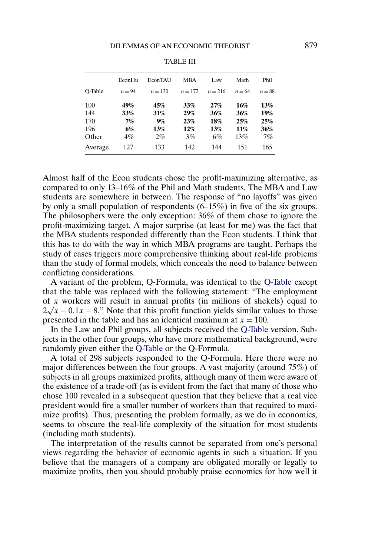<span id="page-14-0"></span>

| O-Table | EconHu<br>$n = 94$ | EconTAU<br>$n = 130$ | <b>MBA</b><br>$n = 172$ | Law<br>$n = 216$ | Math<br>$n = 64$ | Phil<br>$n = 88$ |
|---------|--------------------|----------------------|-------------------------|------------------|------------------|------------------|
|         |                    |                      |                         |                  |                  |                  |
| 100     | 49%                | 45%                  | 33%                     | 27%              | 16%              | 13%              |
| 144     | 33%                | 31%                  | 29%                     | 36%              | 36%              | 19%              |
| 170     | 7%                 | $9\%$                | 23%                     | 18%              | 25%              | 25%              |
| 196     | 6%                 | 13%                  | $12\%$                  | 13%              | 11%              | 36%              |
| Other   | $4\%$              | 2%                   | 3%                      | $6\%$            | 13%              | 7%               |
| Average | 127                | 133                  | 142                     | 144              | 151              | 165              |
|         |                    |                      |                         |                  |                  |                  |

TABLE III

Almost half of the Econ students chose the profit-maximizing alternative, as compared to only 13–16% of the Phil and Math students. The MBA and Law students are somewhere in between. The response of "no layoffs" was given by only a small population of respondents (6–15%) in five of the six groups. The philosophers were the only exception: 36% of them chose to ignore the profit-maximizing target. A major surprise (at least for me) was the fact that the MBA students responded differently than the Econ students. I think that this has to do with the way in which MBA programs are taught. Perhaps the study of cases triggers more comprehensive thinking about real-life problems than the study of formal models, which conceals the need to balance between conflicting considerations.

A variant of the problem, Q-Formula, was identical to the [Q-Table](#page-12-0) except that the table was replaced with the following statement: "The employment of x workers will result in annual profits (in millions of shekels) equal to of x workers will result in annual profits (in millions of shekets) equal to  $2\sqrt{x} - 0.1x - 8$ ." Note that this profit function yields similar values to those presented in the table and has an identical maximum at  $x = 100$ .

In the Law and Phil groups, all subjects received the [Q-Table](#page-12-0) version. Subjects in the other four groups, who have more mathematical background, were randomly given either the [Q-Table](#page-12-0) or the Q-Formula.

A total of 298 subjects responded to the Q-Formula. Here there were no major differences between the four groups. A vast majority (around 75%) of subjects in all groups maximized profits, although many of them were aware of the existence of a trade-off (as is evident from the fact that many of those who chose 100 revealed in a subsequent question that they believe that a real vice president would fire a smaller number of workers than that required to maximize profits). Thus, presenting the problem formally, as we do in economics, seems to obscure the real-life complexity of the situation for most students (including math students).

The interpretation of the results cannot be separated from one's personal views regarding the behavior of economic agents in such a situation. If you believe that the managers of a company are obligated morally or legally to maximize profits, then you should probably praise economics for how well it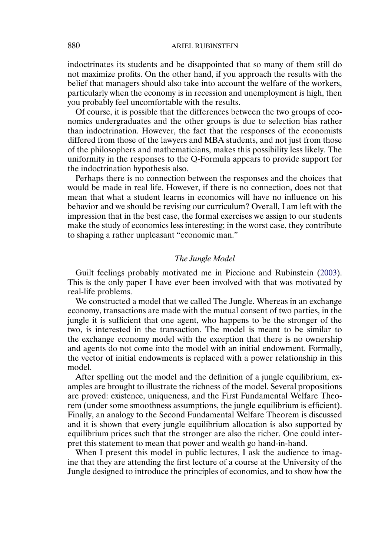<span id="page-15-0"></span>indoctrinates its students and be disappointed that so many of them still do not maximize profits. On the other hand, if you approach the results with the belief that managers should also take into account the welfare of the workers, particularly when the economy is in recession and unemployment is high, then you probably feel uncomfortable with the results.

Of course, it is possible that the differences between the two groups of economics undergraduates and the other groups is due to selection bias rather than indoctrination. However, the fact that the responses of the economists differed from those of the lawyers and MBA students, and not just from those of the philosophers and mathematicians, makes this possibility less likely. The uniformity in the responses to the Q-Formula appears to provide support for the indoctrination hypothesis also.

Perhaps there is no connection between the responses and the choices that would be made in real life. However, if there is no connection, does not that mean that what a student learns in economics will have no influence on his behavior and we should be revising our curriculum? Overall, I am left with the impression that in the best case, the formal exercises we assign to our students make the study of economics less interesting; in the worst case, they contribute to shaping a rather unpleasant "economic man."

### *The Jungle Model*

Guilt feelings probably motivated me in Piccione and Rubinstein [\(2003\)](#page-17-0). This is the only paper I have ever been involved with that was motivated by real-life problems.

We constructed a model that we called The Jungle. Whereas in an exchange economy, transactions are made with the mutual consent of two parties, in the jungle it is sufficient that one agent, who happens to be the stronger of the two, is interested in the transaction. The model is meant to be similar to the exchange economy model with the exception that there is no ownership and agents do not come into the model with an initial endowment. Formally, the vector of initial endowments is replaced with a power relationship in this model.

After spelling out the model and the definition of a jungle equilibrium, examples are brought to illustrate the richness of the model. Several propositions are proved: existence, uniqueness, and the First Fundamental Welfare Theorem (under some smoothness assumptions, the jungle equilibrium is efficient). Finally, an analogy to the Second Fundamental Welfare Theorem is discussed and it is shown that every jungle equilibrium allocation is also supported by equilibrium prices such that the stronger are also the richer. One could interpret this statement to mean that power and wealth go hand-in-hand.

When I present this model in public lectures, I ask the audience to imagine that they are attending the first lecture of a course at the University of the Jungle designed to introduce the principles of economics, and to show how the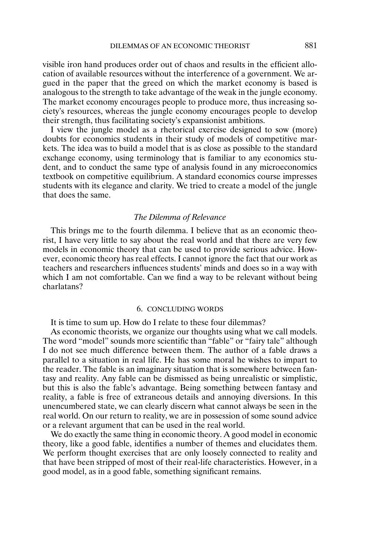visible iron hand produces order out of chaos and results in the efficient allocation of available resources without the interference of a government. We argued in the paper that the greed on which the market economy is based is analogous to the strength to take advantage of the weak in the jungle economy. The market economy encourages people to produce more, thus increasing society's resources, whereas the jungle economy encourages people to develop their strength, thus facilitating society's expansionist ambitions.

I view the jungle model as a rhetorical exercise designed to sow (more) doubts for economics students in their study of models of competitive markets. The idea was to build a model that is as close as possible to the standard exchange economy, using terminology that is familiar to any economics student, and to conduct the same type of analysis found in any microeconomics textbook on competitive equilibrium. A standard economics course impresses students with its elegance and clarity. We tried to create a model of the jungle that does the same.

### *The Dilemma of Relevance*

This brings me to the fourth dilemma. I believe that as an economic theorist, I have very little to say about the real world and that there are very few models in economic theory that can be used to provide serious advice. However, economic theory has real effects. I cannot ignore the fact that our work as teachers and researchers influences students' minds and does so in a way with which I am not comfortable. Can we find a way to be relevant without being charlatans?

#### 6. CONCLUDING WORDS

It is time to sum up. How do I relate to these four dilemmas?

As economic theorists, we organize our thoughts using what we call models. The word "model" sounds more scientific than "fable" or "fairy tale" although I do not see much difference between them. The author of a fable draws a parallel to a situation in real life. He has some moral he wishes to impart to the reader. The fable is an imaginary situation that is somewhere between fantasy and reality. Any fable can be dismissed as being unrealistic or simplistic, but this is also the fable's advantage. Being something between fantasy and reality, a fable is free of extraneous details and annoying diversions. In this unencumbered state, we can clearly discern what cannot always be seen in the real world. On our return to reality, we are in possession of some sound advice or a relevant argument that can be used in the real world.

We do exactly the same thing in economic theory. A good model in economic theory, like a good fable, identifies a number of themes and elucidates them. We perform thought exercises that are only loosely connected to reality and that have been stripped of most of their real-life characteristics. However, in a good model, as in a good fable, something significant remains.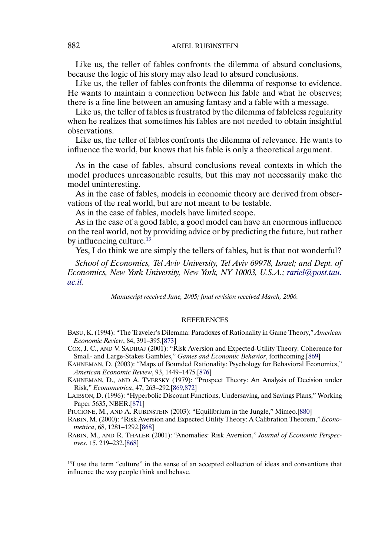<span id="page-17-0"></span>Like us, the teller of fables confronts the dilemma of absurd conclusions, because the logic of his story may also lead to absurd conclusions.

Like us, the teller of fables confronts the dilemma of response to evidence. He wants to maintain a connection between his fable and what he observes; there is a fine line between an amusing fantasy and a fable with a message.

Like us, the teller of fables is frustrated by the dilemma of fableless regularity when he realizes that sometimes his fables are not needed to obtain insightful observations.

Like us, the teller of fables confronts the dilemma of relevance. He wants to influence the world, but knows that his fable is only a theoretical argument.

As in the case of fables, absurd conclusions reveal contexts in which the model produces unreasonable results, but this may not necessarily make the model uninteresting.

As in the case of fables, models in economic theory are derived from observations of the real world, but are not meant to be testable.

As in the case of fables, models have limited scope.

As in the case of a good fable, a good model can have an enormous influence on the real world, not by providing advice or by predicting the future, but rather by influencing culture.<sup>13</sup>

Yes, I do think we are simply the tellers of fables, but is that not wonderful?

*School of Economics, Tel Aviv University, Tel Aviv 69978, Israel; and Dept. of Economics, New York University, New York, NY 10003, U.S.A.; [rariel@post.tau.](mailto:rariel@post.tau.ac.il) [ac.il.](mailto:rariel@post.tau.ac.il)*

*Manuscript received June, 2005; final revision received March, 2006.*

#### REFERENCES

- BASU, K. (1994): "The Traveler's Dilemma: Paradoxes of Rationality in Game Theory," *American Economic Review*, 84, 391–395.[\[873\]](#page-8-0)
- COX, J. C., AND V. SADIRAJ (2001): "Risk Aversion and Expected-Utility Theory: Coherence for Small- and Large-Stakes Gambles," *Games and Economic Behavior*, forthcoming.[\[869\]](#page-4-0)

KAHNEMAN, D. (2003): "Maps of Bounded Rationality: Psychology for Behavioral Economics," *American Economic Review*, 93, 1449–1475.[\[876\]](#page-11-0)

KAHNEMAN, D., AND A. TVERSKY (1979): "Prospect Theory: An Analysis of Decision under Risk," *Econometrica*, 47, 263–292.[\[869,872\]](#page-4-0)

LAIBSON, D. (1996): "Hyperbolic Discount Functions, Undersaving, and Savings Plans," Working Paper 5635, NBER.[\[871\]](#page-6-0)

PICCIONE, M., AND A. RUBINSTEIN (2003): "Equilibrium in the Jungle," Mimeo.[\[880\]](#page-15-0)

RABIN, M. (2000): "Risk Aversion and Expected Utility Theory: A Calibration Theorem," *Econometrica*, 68, 1281–1292.[\[868\]](#page-3-0)

RABIN, M., AND R. THALER (2001): "Anomalies: Risk Aversion," *Journal of Economic Perspectives*, 15, 219–232.[\[868\]](#page-3-0)

<sup>13</sup>I use the term "culture" in the sense of an accepted collection of ideas and conventions that influence the way people think and behave.